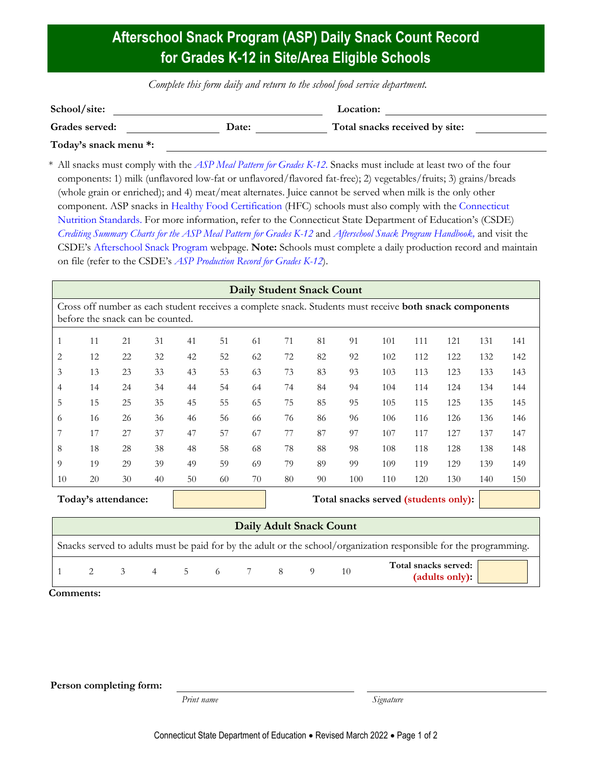## **Afterschool Snack Program (ASP) Daily Snack Count Record for Grades K-12 in Site/Area Eligible Schools**

*Complete this form daily and return to the school food service department.*

| School/site:          |              | Location:                      |  |
|-----------------------|--------------|--------------------------------|--|
| Grades served:        | <b>Date:</b> | Total snacks received by site: |  |
| Today's snack menu *: |              |                                |  |

\* All snacks must comply with the *[ASP Meal Pattern for Grades K-12](https://portal.ct.gov/-/media/SDE/Nutrition/ASP/Meal_Pattern_ASP_grades_K-12.pdf)*. Snacks must include at least two of the four components: 1) milk (unflavored low-fat or unflavored/flavored fat-free); 2) vegetables/fruits; 3) grains/breads (whole grain or enriched); and 4) meat/meat alternates. Juice cannot be served when milk is the only other component. ASP snacks in [Healthy Food Certification](https://portal.ct.gov/SDE/Nutrition/Healthy-Food-Certification) (HFC) schools must also comply with the [Connecticut](https://portal.ct.gov/SDE/Nutrition/Connecticut-Nutrition-Standards)  [Nutrition Standards.](https://portal.ct.gov/SDE/Nutrition/Connecticut-Nutrition-Standards) For more information, refer to the Connecticut State Department of Education's (CSDE) *[Crediting Summary Charts for the ASP Meal Pattern for Grades K-12](https://portal.ct.gov/-/media/SDE/Nutrition/ASP/Crediting_Summary_Charts_ASP_Grades_K-12.pdf)* and *[Afterschool Snack Program Handbook,](https://portal.ct.gov/-/media/SDE/Nutrition/ASP/ASP_Handbook.pdf)* and visit the CSDE's [Afterschool Snack Program](http://portal.ct.gov/SDE/Nutrition/Afterschool-Snack-Program) webpage. **Note:** Schools must complete a daily production record and maintain on file (refer to the CSDE's *[ASP Production Record for Grades K-12](https://portal.ct.gov/-/media/SDE/Nutrition/ASP/Forms/Production_Record_ASP_grades_K-12.docx)*).

|                |    |                                  |    |    |    |    | <b>Daily Student Snack Count</b> |    |                                                                                                         |     |     |     |     |     |
|----------------|----|----------------------------------|----|----|----|----|----------------------------------|----|---------------------------------------------------------------------------------------------------------|-----|-----|-----|-----|-----|
|                |    | before the snack can be counted. |    |    |    |    |                                  |    | Cross off number as each student receives a complete snack. Students must receive both snack components |     |     |     |     |     |
|                | 11 | 21                               | 31 | 41 | 51 | 61 | 71                               | 81 | 91                                                                                                      | 101 | 111 | 121 | 131 | 141 |
| $\overline{2}$ | 12 | 22                               | 32 | 42 | 52 | 62 | 72                               | 82 | 92                                                                                                      | 102 | 112 | 122 | 132 | 142 |
| 3              | 13 | 23                               | 33 | 43 | 53 | 63 | 73                               | 83 | 93                                                                                                      | 103 | 113 | 123 | 133 | 143 |
| 4              | 14 | 24                               | 34 | 44 | 54 | 64 | 74                               | 84 | 94                                                                                                      | 104 | 114 | 124 | 134 | 144 |
| 5              | 15 | 25                               | 35 | 45 | 55 | 65 | 75                               | 85 | 95                                                                                                      | 105 | 115 | 125 | 135 | 145 |
| 6              | 16 | 26                               | 36 | 46 | 56 | 66 | 76                               | 86 | 96                                                                                                      | 106 | 116 | 126 | 136 | 146 |
| 7              | 17 | 27                               | 37 | 47 | 57 | 67 | 77                               | 87 | 97                                                                                                      | 107 | 117 | 127 | 137 | 147 |
| 8              | 18 | 28                               | 38 | 48 | 58 | 68 | 78                               | 88 | 98                                                                                                      | 108 | 118 | 128 | 138 | 148 |
| 9              | 19 | 29                               | 39 | 49 | 59 | 69 | 79                               | 89 | 99                                                                                                      | 109 | 119 | 129 | 139 | 149 |
| 10             | 20 | 30                               | 40 | 50 | 60 | 70 | 80                               | 90 | 100                                                                                                     | 110 | 120 | 130 | 140 | 150 |
|                |    |                                  |    |    |    |    |                                  |    |                                                                                                         |     |     |     |     |     |

**Today's attendance: Today's attendance: Today's attendance: Today**: **Today**: **Today's attendance: Today: Today: Today: Today: Today: Today: Today: Today: Today: Today: Today: Today: Today:** 

|                                                                                                                   | Daily Adult Snack Count |  |  |  |  |  |  |  |
|-------------------------------------------------------------------------------------------------------------------|-------------------------|--|--|--|--|--|--|--|
| Snacks served to adults must be paid for by the adult or the school/organization responsible for the programming. |                         |  |  |  |  |  |  |  |
| Total snacks served:<br>3 4 5 6 7 8 9<br>10<br>(adults only):                                                     |                         |  |  |  |  |  |  |  |

**Comments:**

**Person completing form:**

*Print name Signature*